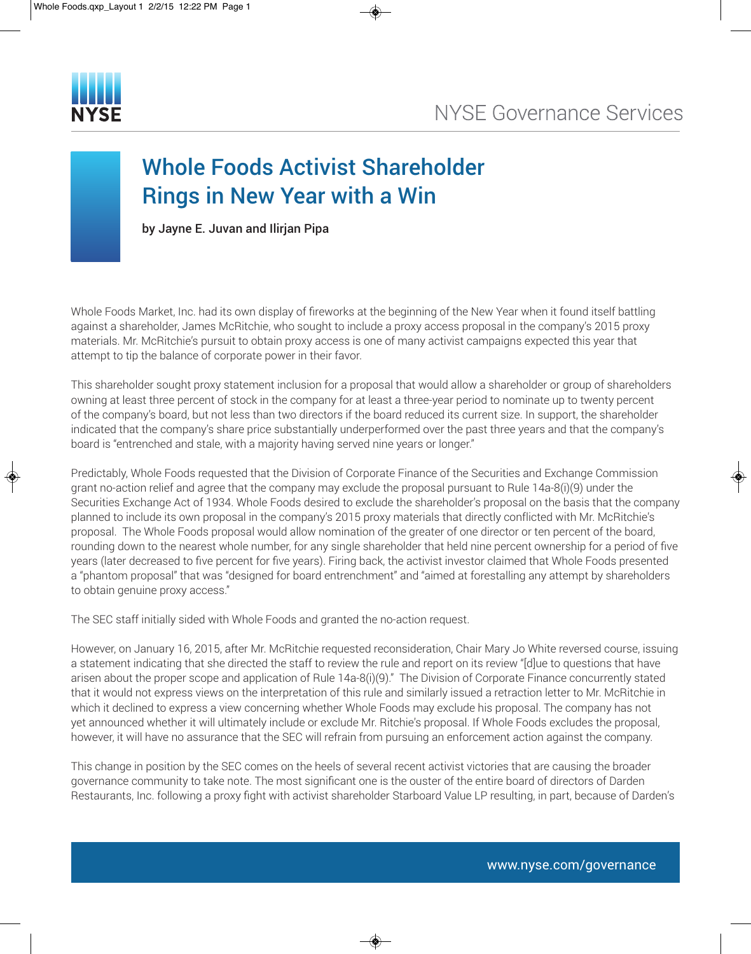

## Whole Foods Activist Shareholder Rings in New Year with a Win

by Jayne E. Juvan and Ilirjan Pipa

Whole Foods Market, Inc. had its own display of fireworks at the beginning of the New Year when it found itself battling against a shareholder, James McRitchie, who sought to include a proxy access proposal in the company's 2015 proxy materials. Mr. McRitchie's pursuit to obtain proxy access is one of many activist campaigns expected this year that attempt to tip the balance of corporate power in their favor.

This shareholder sought proxy statement inclusion for a proposal that would allow a shareholder or group of shareholders owning at least three percent of stock in the company for at least a three-year period to nominate up to twenty percent of the company's board, but not less than two directors if the board reduced its current size. In support, the shareholder indicated that the company's share price substantially underperformed over the past three years and that the company's board is "entrenched and stale, with a majority having served nine years or longer."

Predictably, Whole Foods requested that the Division of Corporate Finance of the Securities and Exchange Commission grant no-action relief and agree that the company may exclude the proposal pursuant to Rule 14a-8(i)(9) under the Securities Exchange Act of 1934. Whole Foods desired to exclude the shareholder's proposal on the basis that the company planned to include its own proposal in the company's 2015 proxy materials that directly conflicted with Mr. McRitchie's proposal. The Whole Foods proposal would allow nomination of the greater of one director or ten percent of the board, rounding down to the nearest whole number, for any single shareholder that held nine percent ownership for a period of five years (later decreased to five percent for five years). Firing back, the activist investor claimed that Whole Foods presented a "phantom proposal" that was "designed for board entrenchment" and "aimed at forestalling any attempt by shareholders to obtain genuine proxy access."

The SEC staff initially sided with Whole Foods and granted the no-action request.

However, on January 16, 2015, after Mr. McRitchie requested reconsideration, Chair Mary Jo White reversed course, issuing a statement indicating that she directed the staff to review the rule and report on its review "[d]ue to questions that have arisen about the proper scope and application of Rule 14a-8(i)(9)." The Division of Corporate Finance concurrently stated that it would not express views on the interpretation of this rule and similarly issued a retraction letter to Mr. McRitchie in which it declined to express a view concerning whether Whole Foods may exclude his proposal. The company has not yet announced whether it will ultimately include or exclude Mr. Ritchie's proposal. If Whole Foods excludes the proposal, however, it will have no assurance that the SEC will refrain from pursuing an enforcement action against the company.

This change in position by the SEC comes on the heels of several recent activist victories that are causing the broader governance community to take note. The most significant one is the ouster of the entire board of directors of Darden Restaurants, Inc. following a proxy fight with activist shareholder Starboard Value LP resulting, in part, because of Darden's